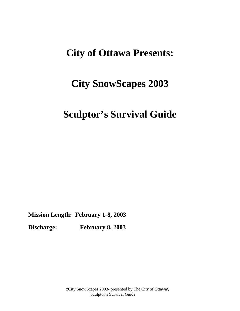## **City of Ottawa Presents:**

# **City SnowScapes 2003**

## **Sculptor's Survival Guide**

**Mission Length: February 1-8, 2003**

**Discharge: February 8, 2003**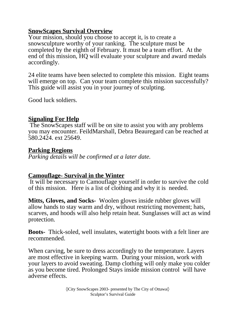### **SnowScapes Survival Overview**

Your mission, should you choose to accept it, is to create a snowsculpture worthy of your ranking. The sculpture must be completed by the eighth of February. It must be a team effort. At the end of this mission, HQ will evaluate your sculpture and award medals accordingly.

24 elite teams have been selected to complete this mission. Eight teams will emerge on top. Can your team complete this mission successfully? This guide will assist you in your journey of sculpting.

Good luck soldiers.

#### **Signaling For Help**

 The SnowScapes staff will be on site to assist you with any problems you may encounter. FeildMarshall, Debra Beauregard can be reached at 580.2424. ext 25649.

#### **Parking Regions**

*Parking details will be confirmed at a later date.*

#### **Camouflage- Survival in the Winter**

 It will be necessary to Camouflage yourself in order to survive the cold of this mission. Here is a list of clothing and why it is needed.

**Mitts, Gloves, and Socks-** Woolen gloves inside rubber gloves will allow hands to stay warm and dry, without restricting movement; hats, scarves, and hoods will also help retain heat. Sunglasses will act as wind protection.

**Boots-** Thick-soled, well insulates, watertight boots with a felt liner are recommended.

When carving, be sure to dress accordingly to the temperature. Layers are most effective in keeping warm. During your mission, work with your layers to avoid sweating. Damp clothing will only make you colder as you become tired. Prolonged Stays inside mission control will have adverse effects.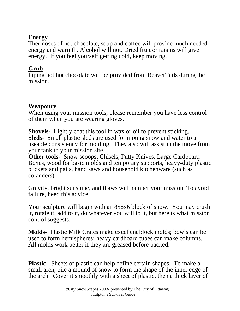## **Energy**

Thermoses of hot chocolate, soup and coffee will provide much needed energy and warmth. Alcohol will not. Dried fruit or raisins will give energy. If you feel yourself getting cold, keep moving.

## **Grub**

Piping hot hot chocolate will be provided from BeaverTails during the mission.

### **Weaponry**

When using your mission tools, please remember you have less control of them when you are wearing gloves.

**Shovels-** Lightly coat this tool in wax or oil to prevent sticking. **Sleds-** Small plastic sleds are used for mixing snow and water to a useable consistency for molding. They also will assist in the move from your tank to your mission site.

**Other tools-** Snow scoops, Chisels, Putty Knives, Large Cardboard Boxes, wood for basic molds and temporary supports, heavy-duty plastic buckets and pails, hand saws and household kitchenware (such as colanders).

Gravity, bright sunshine, and thaws will hamper your mission. To avoid failure, heed this advice;

Your sculpture will begin with an 8x8x6 block of snow. You may crush it, rotate it, add to it, do whatever you will to it, but here is what mission control suggests:

**Molds-** Plastic Milk Crates make excellent block molds; bowls can be used to form hemispheres; heavy cardboard tubes can make columns. All molds work better if they are greased before packed.

**Plastic-** Sheets of plastic can help define certain shapes. To make a small arch, pile a mound of snow to form the shape of the inner edge of the arch. Cover it smoothly with a sheet of plastic, then a thick layer of